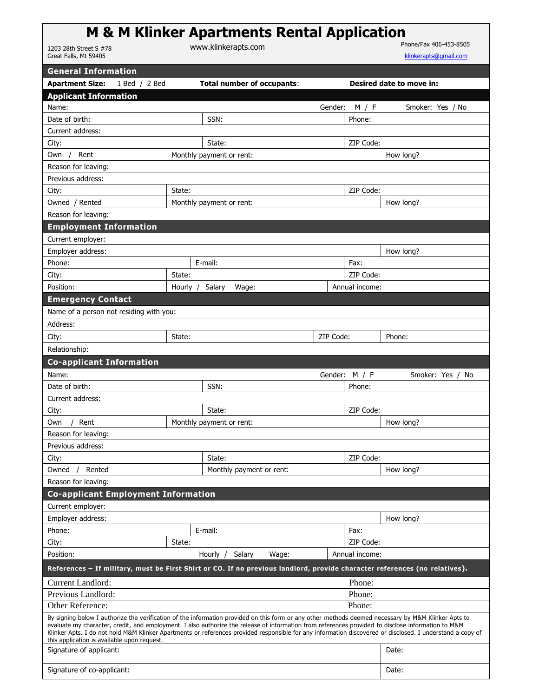|                                            |                          | <b>M &amp; M Klinker Apartments Rental Application</b> |                  |                          |  |
|--------------------------------------------|--------------------------|--------------------------------------------------------|------------------|--------------------------|--|
| 1203 28th Street S #78                     |                          | www.klinkerapts.com                                    |                  | Phone/Fax 406-453-8505   |  |
| Great Falls, Mt 59405                      |                          |                                                        |                  | klinkerapts@gmail.com    |  |
| <b>General Information</b>                 |                          |                                                        |                  |                          |  |
| <b>Apartment Size:</b>                     | 1 Bed / 2 Bed            | <b>Total number of occupants:</b>                      |                  | Desired date to move in: |  |
| <b>Applicant Information</b>               |                          |                                                        |                  |                          |  |
| Name:                                      |                          |                                                        | Gender:<br>M / F | Smoker: Yes / No         |  |
| Date of hirth:                             |                          | SSN:                                                   | Phone:           |                          |  |
| Current address:                           |                          |                                                        |                  |                          |  |
| City:                                      |                          | State:                                                 | ZIP Code:        |                          |  |
| Rent<br>Own                                | Monthly payment or rent: |                                                        |                  | How long?                |  |
| Reason for leaving:                        |                          |                                                        |                  |                          |  |
| Previous address:                          |                          |                                                        |                  |                          |  |
| City:                                      | State:                   |                                                        | ZIP Code:        |                          |  |
| Owned / Rented<br>Monthly payment or rent: |                          |                                                        | How long?        |                          |  |
| Reason for leaving:                        |                          |                                                        |                  |                          |  |
| <b>Employment Information</b>              |                          |                                                        |                  |                          |  |
| Current employer:                          |                          |                                                        |                  |                          |  |
| Employer address:                          |                          |                                                        |                  | How long?                |  |
| Phone:                                     |                          | E-mail:                                                | Fax:             |                          |  |
| City:                                      | State:                   |                                                        | ZIP Code:        |                          |  |
| Position:                                  | Hourly /                 | Salary<br>Wage:                                        | Annual income:   |                          |  |

| Name of a person not residing with you:    |        |                          |           |               |                  |
|--------------------------------------------|--------|--------------------------|-----------|---------------|------------------|
| Address:                                   |        |                          |           |               |                  |
| City:                                      | State: |                          | ZIP Code: |               | Phone:           |
| Relationship:                              |        |                          |           |               |                  |
| <b>Co-applicant Information</b>            |        |                          |           |               |                  |
| Name:                                      |        |                          |           | Gender: M / F | Smoker: Yes / No |
| Date of birth:                             |        | SSN:                     |           | Phone:        |                  |
| Current address:                           |        |                          |           |               |                  |
| City:                                      |        | State:                   |           | ZIP Code:     |                  |
| Rent<br>Own                                |        | Monthly payment or rent: |           |               | How long?        |
| Reason for leaving:                        |        |                          |           |               |                  |
| Previous address:                          |        |                          |           |               |                  |
| City:                                      |        | State:                   |           | ZIP Code:     |                  |
| Rented<br>Owned                            |        | Monthly payment or rent: |           |               | How long?        |
| Reason for leaving:                        |        |                          |           |               |                  |
| <b>Co-applicant Employment Information</b> |        |                          |           |               |                  |
| Current employer:                          |        |                          |           |               |                  |

**Emergency Contact**

| <b>Co-applicant Employment Information</b>                                                                                                                                                                                                                                                                                                                                                                                                                                                                            |                           |                 |        |                |           |  |
|-----------------------------------------------------------------------------------------------------------------------------------------------------------------------------------------------------------------------------------------------------------------------------------------------------------------------------------------------------------------------------------------------------------------------------------------------------------------------------------------------------------------------|---------------------------|-----------------|--------|----------------|-----------|--|
| Current employer:                                                                                                                                                                                                                                                                                                                                                                                                                                                                                                     |                           |                 |        |                |           |  |
| Employer address:                                                                                                                                                                                                                                                                                                                                                                                                                                                                                                     |                           |                 |        |                | How long? |  |
| Phone:                                                                                                                                                                                                                                                                                                                                                                                                                                                                                                                |                           | E-mail:<br>Fax: |        |                |           |  |
| City:                                                                                                                                                                                                                                                                                                                                                                                                                                                                                                                 | State:                    |                 |        | ZIP Code:      |           |  |
| Position:                                                                                                                                                                                                                                                                                                                                                                                                                                                                                                             | Salary<br>Wage:<br>Hourly |                 |        | Annual income: |           |  |
| References – If military, must be First Shirt or CO. If no previous landlord, provide character references (no relatives).                                                                                                                                                                                                                                                                                                                                                                                            |                           |                 |        |                |           |  |
| Current Landlord:                                                                                                                                                                                                                                                                                                                                                                                                                                                                                                     |                           |                 | Phone: |                |           |  |
| Previous Landlord:                                                                                                                                                                                                                                                                                                                                                                                                                                                                                                    |                           |                 | Phone: |                |           |  |
| Other Reference:                                                                                                                                                                                                                                                                                                                                                                                                                                                                                                      |                           |                 | Phone: |                |           |  |
| By signing below I authorize the verification of the information provided on this form or any other methods deemed necessary by M&M Klinker Apts to<br>evaluate my character, credit, and employment. I also authorize the release of information from references provided to disclose information to M&M<br>Klinker Apts. I do not hold M&M Klinker Apartments or references provided responsible for any information discovered or disclosed. I understand a copy of<br>this application is available upon request. |                           |                 |        |                |           |  |
| Signature of applicant:                                                                                                                                                                                                                                                                                                                                                                                                                                                                                               |                           |                 |        |                | Date:     |  |
| Signature of co-applicant:                                                                                                                                                                                                                                                                                                                                                                                                                                                                                            |                           |                 |        |                | Date:     |  |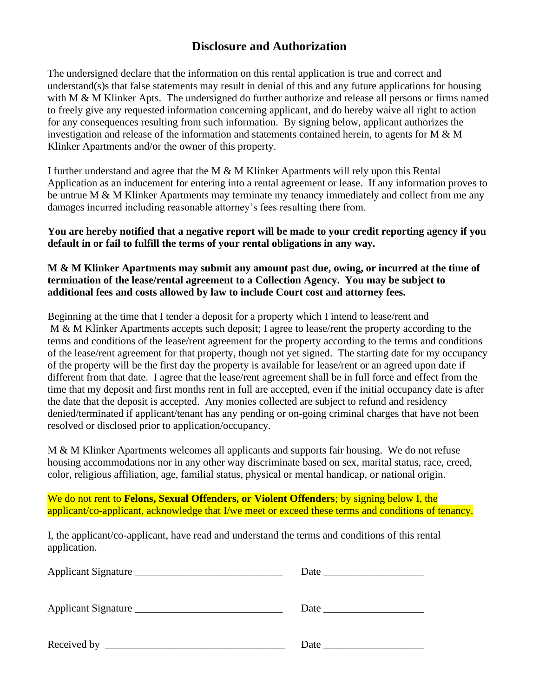### **Disclosure and Authorization**

The undersigned declare that the information on this rental application is true and correct and understand(s)s that false statements may result in denial of this and any future applications for housing with M & M Klinker Apts. The undersigned do further authorize and release all persons or firms named to freely give any requested information concerning applicant, and do hereby waive all right to action for any consequences resulting from such information. By signing below, applicant authorizes the investigation and release of the information and statements contained herein, to agents for M & M Klinker Apartments and/or the owner of this property.

I further understand and agree that the M & M Klinker Apartments will rely upon this Rental Application as an inducement for entering into a rental agreement or lease. If any information proves to be untrue M & M Klinker Apartments may terminate my tenancy immediately and collect from me any damages incurred including reasonable attorney's fees resulting there from.

**You are hereby notified that a negative report will be made to your credit reporting agency if you default in or fail to fulfill the terms of your rental obligations in any way.**

#### **M & M Klinker Apartments may submit any amount past due, owing, or incurred at the time of termination of the lease/rental agreement to a Collection Agency. You may be subject to additional fees and costs allowed by law to include Court cost and attorney fees.**

Beginning at the time that I tender a deposit for a property which I intend to lease/rent and M & M Klinker Apartments accepts such deposit; I agree to lease/rent the property according to the terms and conditions of the lease/rent agreement for the property according to the terms and conditions of the lease/rent agreement for that property, though not yet signed. The starting date for my occupancy of the property will be the first day the property is available for lease/rent or an agreed upon date if different from that date. I agree that the lease/rent agreement shall be in full force and effect from the time that my deposit and first months rent in full are accepted, even if the initial occupancy date is after the date that the deposit is accepted. Any monies collected are subject to refund and residency denied/terminated if applicant/tenant has any pending or on-going criminal charges that have not been resolved or disclosed prior to application/occupancy.

M & M Klinker Apartments welcomes all applicants and supports fair housing. We do not refuse housing accommodations nor in any other way discriminate based on sex, marital status, race, creed, color, religious affiliation, age, familial status, physical or mental handicap, or national origin.

We do not rent to **Felons, Sexual Offenders, or Violent Offenders**; by signing below I, the applicant/co-applicant, acknowledge that I/we meet or exceed these terms and conditions of tenancy.

I, the applicant/co-applicant, have read and understand the terms and conditions of this rental application.

| Applicant Signature |                                                                                                                                                                                                                               |
|---------------------|-------------------------------------------------------------------------------------------------------------------------------------------------------------------------------------------------------------------------------|
| Applicant Signature | Date and the same state of the state of the state of the state of the state of the state of the state of the state of the state of the state of the state of the state of the state of the state of the state of the state of |
|                     | Date and the same state of the same state of the same state of the same state of the same state of the same state of the same state of the same state of the same state of the same state of the same state of the same state |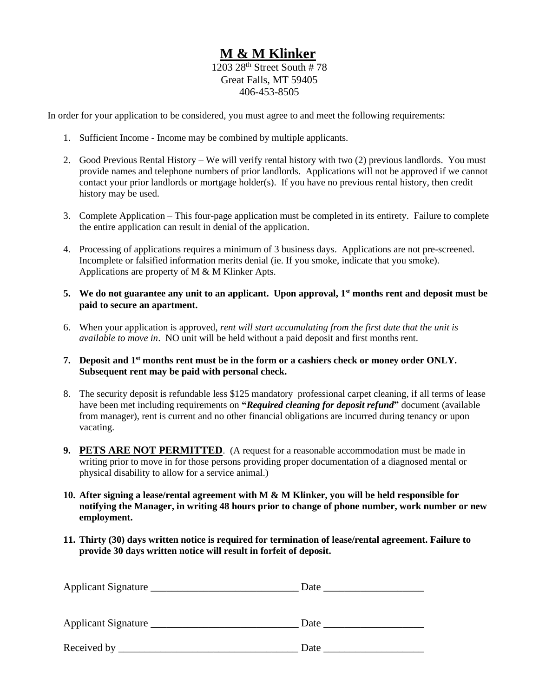# **M & M Klinker**

1203  $28<sup>th</sup>$  Street South # 78 Great Falls, MT 59405 406-453-8505

In order for your application to be considered, you must agree to and meet the following requirements:

- 1. Sufficient Income Income may be combined by multiple applicants.
- 2. Good Previous Rental History We will verify rental history with two (2) previous landlords. You must provide names and telephone numbers of prior landlords. Applications will not be approved if we cannot contact your prior landlords or mortgage holder(s). If you have no previous rental history, then credit history may be used.
- 3. Complete Application This four-page application must be completed in its entirety. Failure to complete the entire application can result in denial of the application.
- 4. Processing of applications requires a minimum of 3 business days. Applications are not pre-screened. Incomplete or falsified information merits denial (ie. If you smoke, indicate that you smoke). Applications are property of M & M Klinker Apts.
- **5. We do not guarantee any unit to an applicant. Upon approval, 1 st months rent and deposit must be paid to secure an apartment.**
- 6. When your application is approved, *rent will start accumulating from the first date that the unit is available to move in*. NO unit will be held without a paid deposit and first months rent.
- **7. Deposit and 1 st months rent must be in the form or a cashiers check or money order ONLY. Subsequent rent may be paid with personal check.**
- 8. The security deposit is refundable less \$125 mandatory professional carpet cleaning, if all terms of lease have been met including requirements on **"***Required cleaning for deposit refund***"** document (available from manager), rent is current and no other financial obligations are incurred during tenancy or upon vacating.
- **9. PETS ARE NOT PERMITTED**. (A request for a reasonable accommodation must be made in writing prior to move in for those persons providing proper documentation of a diagnosed mental or physical disability to allow for a service animal.)
- **10. After signing a lease/rental agreement with M & M Klinker, you will be held responsible for notifying the Manager, in writing 48 hours prior to change of phone number, work number or new employment.**
- **11. Thirty (30) days written notice is required for termination of lease/rental agreement. Failure to provide 30 days written notice will result in forfeit of deposit.**

| Applicant Signature | Date |
|---------------------|------|
| Applicant Signature | Date |
| Received by         | Date |